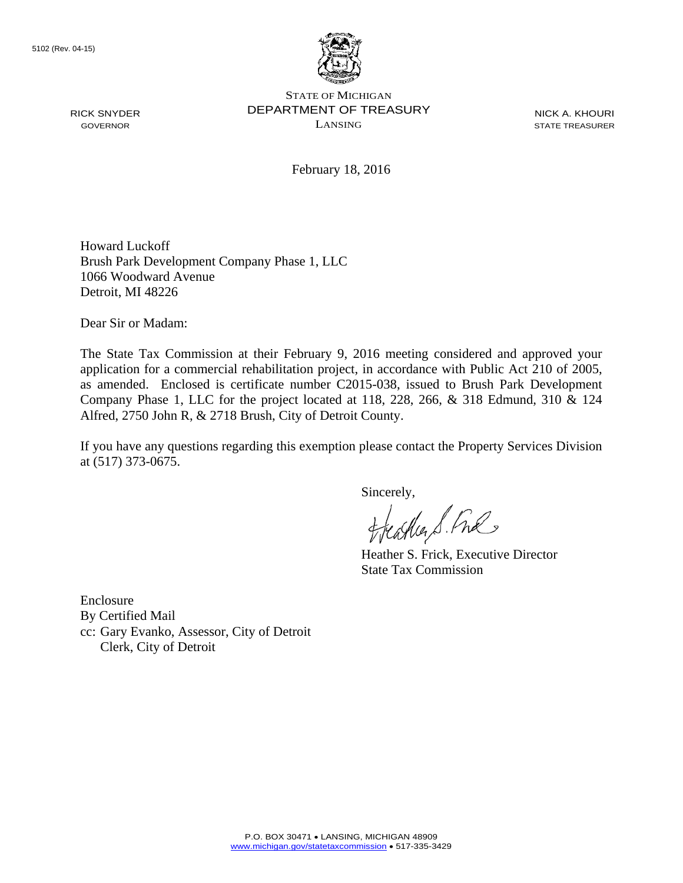RICK SNYDER GOVERNOR



STATE OF MICHIGAN DEPARTMENT OF TREASURY LANSING

NICK A. KHOURI STATE TREASURER

February 18, 2016

Howard Luckoff Brush Park Development Company Phase 1, LLC 1066 Woodward Avenue Detroit, MI 48226

Dear Sir or Madam:

The State Tax Commission at their February 9, 2016 meeting considered and approved your application for a commercial rehabilitation project, in accordance with Public Act 210 of 2005, as amended. Enclosed is certificate number C2015-038, issued to Brush Park Development Company Phase 1, LLC for the project located at 118, 228, 266, & 318 Edmund, 310 & 124 Alfred, 2750 John R, & 2718 Brush, City of Detroit County.

If you have any questions regarding this exemption please contact the Property Services Division at (517) 373-0675.

Sincerely,<br>flathers fine

Heather S. Frick, Executive Director State Tax Commission

Enclosure By Certified Mail cc: Gary Evanko, Assessor, City of Detroit Clerk, City of Detroit